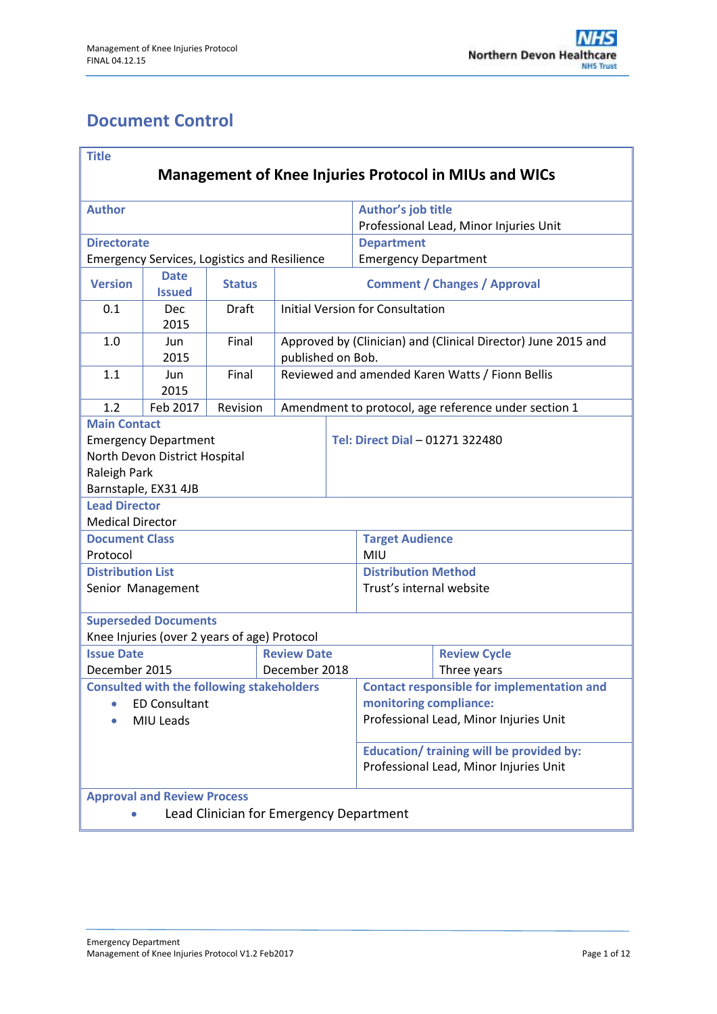# <span id="page-0-0"></span>**Document Control**

| <b>Title</b>                                                                  |                                                     |               |                                     |                                                                                    |                                                        |                                                      |  |  |
|-------------------------------------------------------------------------------|-----------------------------------------------------|---------------|-------------------------------------|------------------------------------------------------------------------------------|--------------------------------------------------------|------------------------------------------------------|--|--|
| <b>Management of Knee Injuries Protocol in MIUs and WICs</b>                  |                                                     |               |                                     |                                                                                    |                                                        |                                                      |  |  |
| <b>Author</b>                                                                 |                                                     |               |                                     |                                                                                    | Author's job title                                     |                                                      |  |  |
|                                                                               |                                                     |               |                                     |                                                                                    | Professional Lead, Minor Injuries Unit                 |                                                      |  |  |
| <b>Directorate</b>                                                            |                                                     |               |                                     |                                                                                    | <b>Department</b>                                      |                                                      |  |  |
|                                                                               | <b>Emergency Services, Logistics and Resilience</b> |               |                                     |                                                                                    | <b>Emergency Department</b>                            |                                                      |  |  |
| <b>Version</b>                                                                | <b>Date</b><br><b>Issued</b>                        | <b>Status</b> | <b>Comment / Changes / Approval</b> |                                                                                    |                                                        |                                                      |  |  |
| 0.1                                                                           | Dec<br>2015                                         | <b>Draft</b>  |                                     | <b>Initial Version for Consultation</b>                                            |                                                        |                                                      |  |  |
| 1.0                                                                           | Jun<br>2015                                         | Final         |                                     | Approved by (Clinician) and (Clinical Director) June 2015 and<br>published on Bob. |                                                        |                                                      |  |  |
| 1.1                                                                           | Jun<br>2015                                         | Final         |                                     | Reviewed and amended Karen Watts / Fionn Bellis                                    |                                                        |                                                      |  |  |
| 1.2                                                                           | Feb 2017                                            | Revision      |                                     |                                                                                    |                                                        | Amendment to protocol, age reference under section 1 |  |  |
| <b>Main Contact</b>                                                           |                                                     |               |                                     |                                                                                    |                                                        |                                                      |  |  |
|                                                                               | <b>Emergency Department</b>                         |               |                                     |                                                                                    | Tel: Direct Dial - 01271 322480                        |                                                      |  |  |
|                                                                               | North Devon District Hospital                       |               |                                     |                                                                                    |                                                        |                                                      |  |  |
| Raleigh Park                                                                  |                                                     |               |                                     |                                                                                    |                                                        |                                                      |  |  |
| Barnstaple, EX31 4JB                                                          |                                                     |               |                                     |                                                                                    |                                                        |                                                      |  |  |
| <b>Lead Director</b>                                                          |                                                     |               |                                     |                                                                                    |                                                        |                                                      |  |  |
| <b>Medical Director</b>                                                       |                                                     |               |                                     |                                                                                    |                                                        |                                                      |  |  |
| <b>Document Class</b>                                                         |                                                     |               |                                     |                                                                                    | <b>Target Audience</b>                                 |                                                      |  |  |
| Protocol<br><b>Distribution List</b>                                          |                                                     |               |                                     |                                                                                    | MIU                                                    |                                                      |  |  |
|                                                                               | Senior Management                                   |               |                                     |                                                                                    | <b>Distribution Method</b><br>Trust's internal website |                                                      |  |  |
|                                                                               |                                                     |               |                                     |                                                                                    |                                                        |                                                      |  |  |
|                                                                               | <b>Superseded Documents</b>                         |               |                                     |                                                                                    |                                                        |                                                      |  |  |
|                                                                               | Knee Injuries (over 2 years of age) Protocol        |               |                                     |                                                                                    |                                                        |                                                      |  |  |
| <b>Issue Date</b>                                                             |                                                     |               | <b>Review Date</b>                  |                                                                                    |                                                        | <b>Review Cycle</b>                                  |  |  |
| December 2015                                                                 |                                                     |               | December 2018                       |                                                                                    |                                                        | Three years                                          |  |  |
|                                                                               | <b>Consulted with the following stakeholders</b>    |               |                                     |                                                                                    | <b>Contact responsible for implementation and</b>      |                                                      |  |  |
|                                                                               | <b>ED Consultant</b>                                |               |                                     |                                                                                    | monitoring compliance:                                 |                                                      |  |  |
| MIU Leads                                                                     |                                                     |               |                                     |                                                                                    | Professional Lead, Minor Injuries Unit                 |                                                      |  |  |
|                                                                               |                                                     |               |                                     | Education/ training will be provided by:<br>Professional Lead, Minor Injuries Unit |                                                        |                                                      |  |  |
| <b>Approval and Review Process</b><br>Lead Clinician for Emergency Department |                                                     |               |                                     |                                                                                    |                                                        |                                                      |  |  |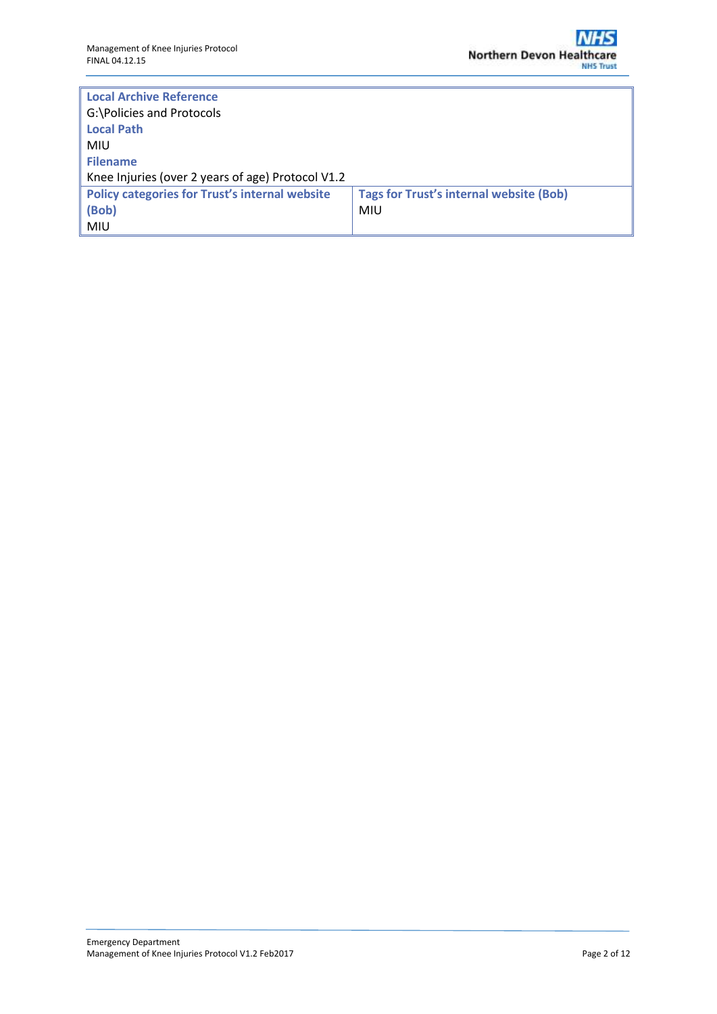| <b>Local Archive Reference</b>                        |                                                |  |  |  |  |
|-------------------------------------------------------|------------------------------------------------|--|--|--|--|
| G:\Policies and Protocols                             |                                                |  |  |  |  |
| <b>Local Path</b>                                     |                                                |  |  |  |  |
| MIU                                                   |                                                |  |  |  |  |
| Filename                                              |                                                |  |  |  |  |
| Knee Injuries (over 2 years of age) Protocol V1.2     |                                                |  |  |  |  |
| <b>Policy categories for Trust's internal website</b> | <b>Tags for Trust's internal website (Bob)</b> |  |  |  |  |
| $ $ (Bob)                                             | <b>MIU</b>                                     |  |  |  |  |
| MIU                                                   |                                                |  |  |  |  |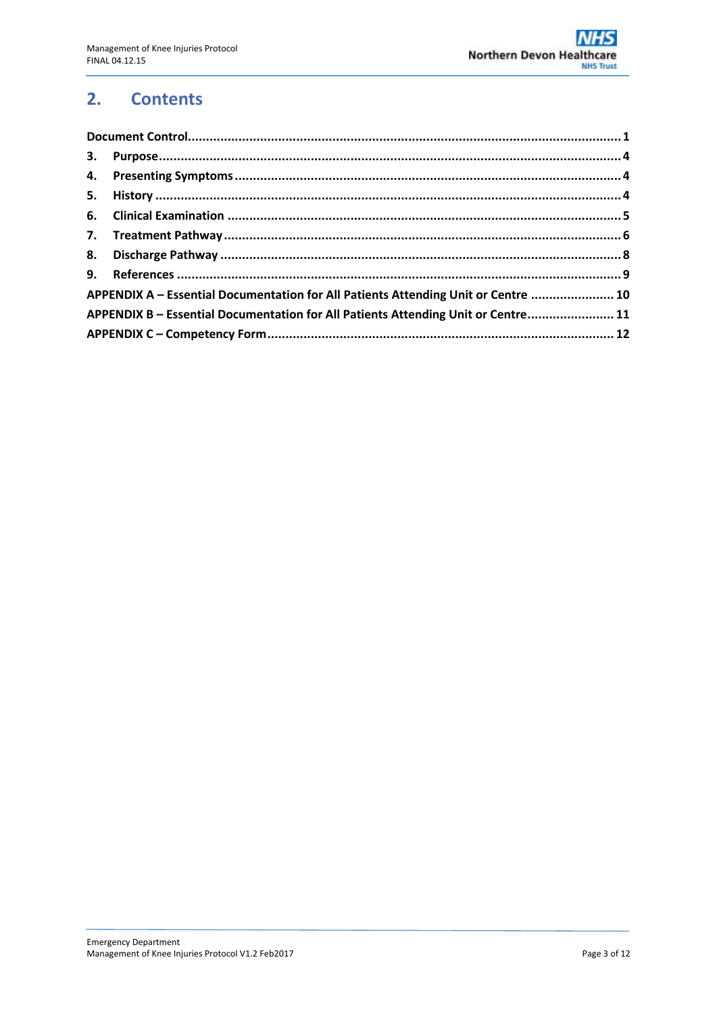#### $2.$ **Contents**

| APPENDIX A - Essential Documentation for All Patients Attending Unit or Centre  10 |  |  |
|------------------------------------------------------------------------------------|--|--|
| APPENDIX B - Essential Documentation for All Patients Attending Unit or Centre 11  |  |  |
|                                                                                    |  |  |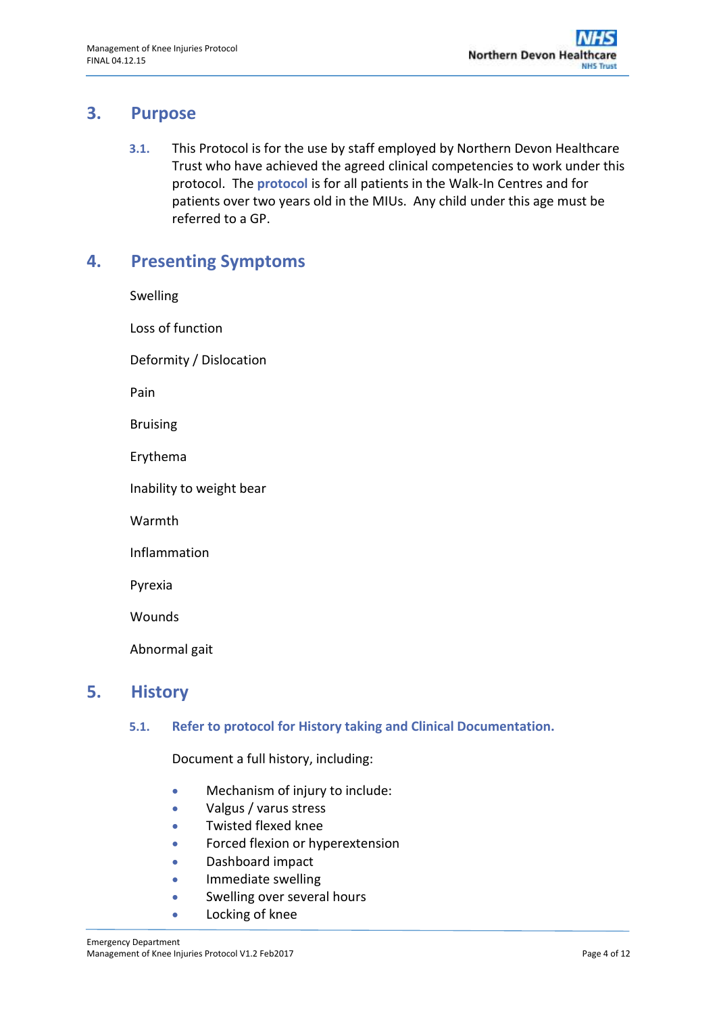### <span id="page-3-0"></span>**3. Purpose**

**3.1.** This Protocol is for the use by staff employed by Northern Devon Healthcare Trust who have achieved the agreed clinical competencies to work under this protocol. The **protocol** is for all patients in the Walk-In Centres and for patients over two years old in the MIUs. Any child under this age must be referred to a GP.

### <span id="page-3-1"></span>**4. Presenting Symptoms**

| Swelling                 |  |  |  |  |
|--------------------------|--|--|--|--|
| Loss of function         |  |  |  |  |
| Deformity / Dislocation  |  |  |  |  |
| Pain                     |  |  |  |  |
| <b>Bruising</b>          |  |  |  |  |
| Erythema                 |  |  |  |  |
| Inability to weight bear |  |  |  |  |
| Warmth                   |  |  |  |  |
| Inflammation             |  |  |  |  |
| Pyrexia                  |  |  |  |  |
| Wounds                   |  |  |  |  |
| Abnormal gait            |  |  |  |  |
|                          |  |  |  |  |

### <span id="page-3-2"></span>**5. History**

### **5.1. Refer to protocol for History taking and Clinical Documentation.**

Document a full history, including:

- Mechanism of injury to include:
- Valgus / varus stress
- Twisted flexed knee
- Forced flexion or hyperextension
- Dashboard impact
- **•** Immediate swelling
- **Swelling over several hours**
- Locking of knee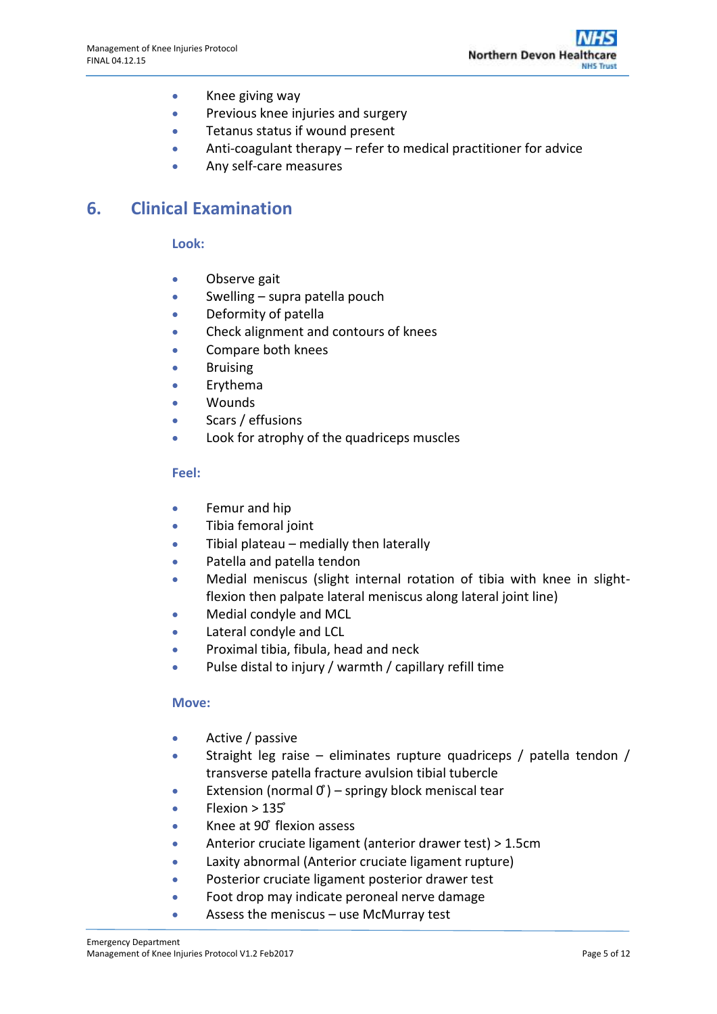- Knee giving way
- Previous knee injuries and surgery
- **•** Tetanus status if wound present
- Anti-coagulant therapy refer to medical practitioner for advice
- Any self-care measures

## <span id="page-4-0"></span>**6. Clinical Examination**

**Look:**

- Observe gait
- Swelling supra patella pouch
- Deformity of patella
- **•** Check alignment and contours of knees
- Compare both knees
- **•** Bruising
- Erythema
- Wounds
- Scars / effusions
- Look for atrophy of the quadriceps muscles

#### **Feel:**

- **•** Femur and hip
- Tibia femoral joint
- $\bullet$  Tibial plateau medially then laterally
- Patella and patella tendon
- Medial meniscus (slight internal rotation of tibia with knee in slightflexion then palpate lateral meniscus along lateral joint line)
- Medial condyle and MCL
- Lateral condyle and LCL
- **•** Proximal tibia, fibula, head and neck
- Pulse distal to injury / warmth / capillary refill time

#### **Move:**

- Active / passive
- **Straight leg raise eliminates rupture quadriceps / patella tendon /** transverse patella fracture avulsion tibial tubercle
- **•** Extension (normal  $\sigma$ ) springy block meniscal tear
- $Flexion > 135^\circ$
- Knee at 90° flexion assess
- Anterior cruciate ligament (anterior drawer test) > 1.5cm
- Laxity abnormal (Anterior cruciate ligament rupture)
- **•** Posterior cruciate ligament posterior drawer test
- Foot drop may indicate peroneal nerve damage
- Assess the meniscus use McMurray test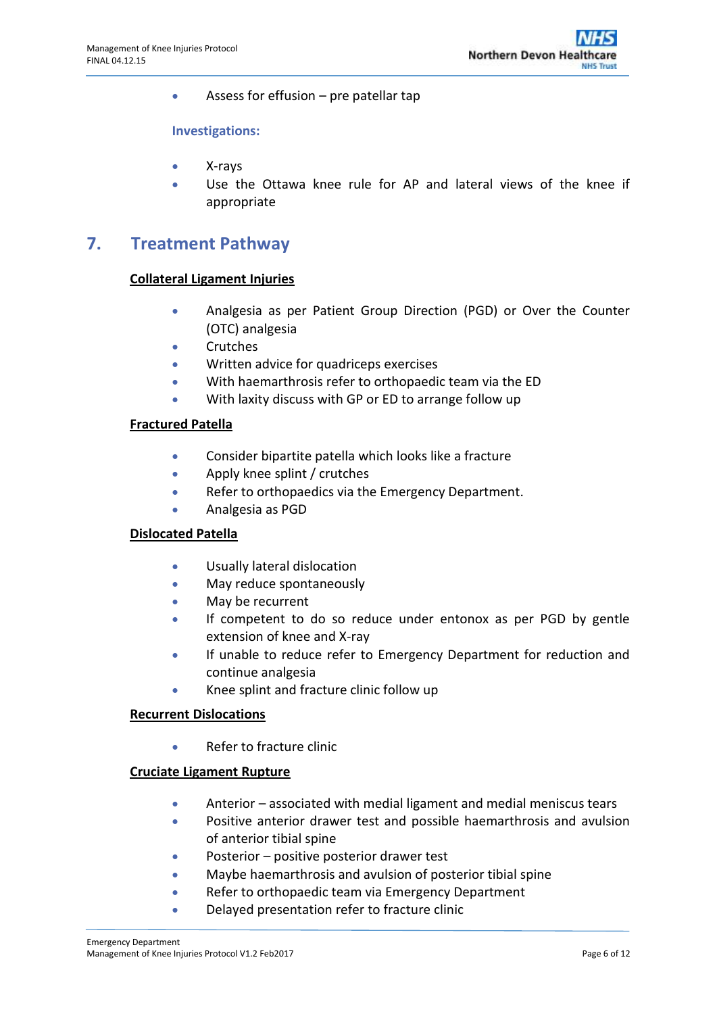• Assess for effusion – pre patellar tap

#### **Investigations:**

- X-rays
- Use the Ottawa knee rule for AP and lateral views of the knee if appropriate

### <span id="page-5-0"></span>**7. Treatment Pathway**

#### **Collateral Ligament Injuries**

- Analgesia as per Patient Group Direction (PGD) or Over the Counter (OTC) analgesia
- **•** Crutches
- Written advice for quadriceps exercises
- With haemarthrosis refer to orthopaedic team via the ED
- With laxity discuss with GP or ED to arrange follow up

#### **Fractured Patella**

- Consider bipartite patella which looks like a fracture
- Apply knee splint / crutches
- Refer to orthopaedics via the Emergency Department.
- Analgesia as PGD

#### **Dislocated Patella**

- Usually lateral dislocation
- May reduce spontaneously
- May be recurrent
- If competent to do so reduce under entonox as per PGD by gentle extension of knee and X-ray
- If unable to reduce refer to Emergency Department for reduction and continue analgesia
- Knee splint and fracture clinic follow up

#### **Recurrent Dislocations**

• Refer to fracture clinic

#### **Cruciate Ligament Rupture**

- Anterior associated with medial ligament and medial meniscus tears
- Positive anterior drawer test and possible haemarthrosis and avulsion of anterior tibial spine
- Posterior positive posterior drawer test
- Maybe haemarthrosis and avulsion of posterior tibial spine
- Refer to orthopaedic team via Emergency Department
- Delayed presentation refer to fracture clinic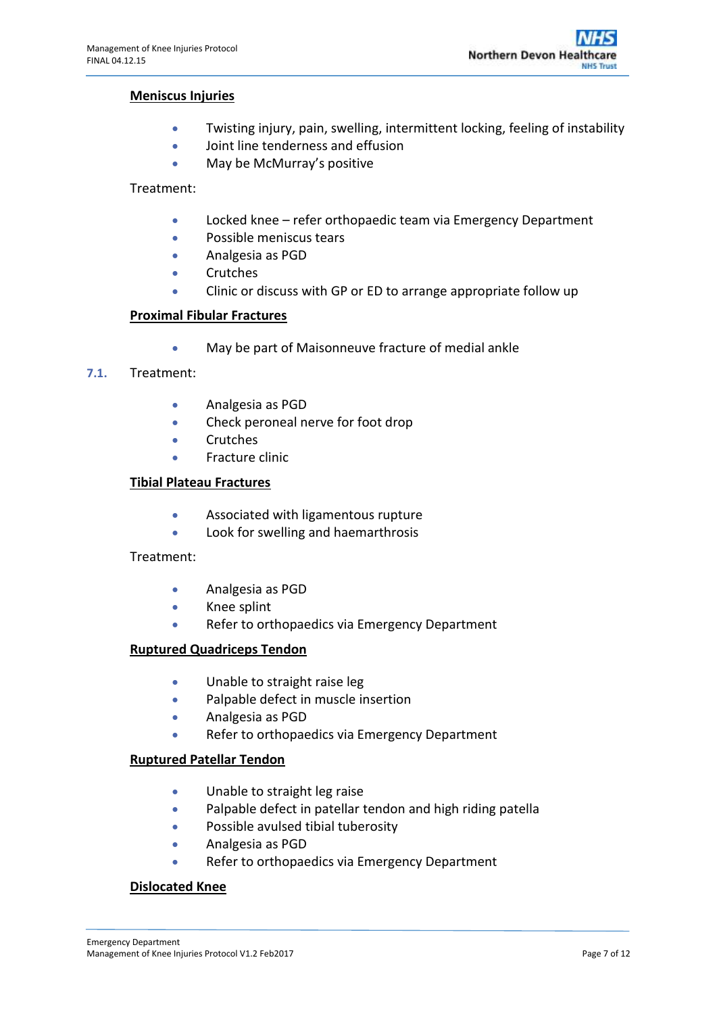#### **Meniscus Injuries**

- Twisting injury, pain, swelling, intermittent locking, feeling of instability
- Joint line tenderness and effusion
- $\bullet$  May be McMurray's positive

#### Treatment:

- Locked knee refer orthopaedic team via Emergency Department
- Possible meniscus tears
- Analgesia as PGD
- **•** Crutches
- Clinic or discuss with GP or ED to arrange appropriate follow up

#### **Proximal Fibular Fractures**

May be part of Maisonneuve fracture of medial ankle

#### **7.1.** Treatment:

- Analgesia as PGD
- Check peroneal nerve for foot drop
- Crutches
- **•** Fracture clinic

#### **Tibial Plateau Fractures**

- Associated with ligamentous rupture
- **•** Look for swelling and haemarthrosis

#### Treatment:

- Analgesia as PGD
- **•** Knee splint
- Refer to orthopaedics via Emergency Department

#### **Ruptured Quadriceps Tendon**

- Unable to straight raise leg
- Palpable defect in muscle insertion
- Analgesia as PGD
- Refer to orthopaedics via Emergency Department

#### **Ruptured Patellar Tendon**

- Unable to straight leg raise
- Palpable defect in patellar tendon and high riding patella
- Possible avulsed tibial tuberosity
- Analgesia as PGD
- Refer to orthopaedics via Emergency Department

#### **Dislocated Knee**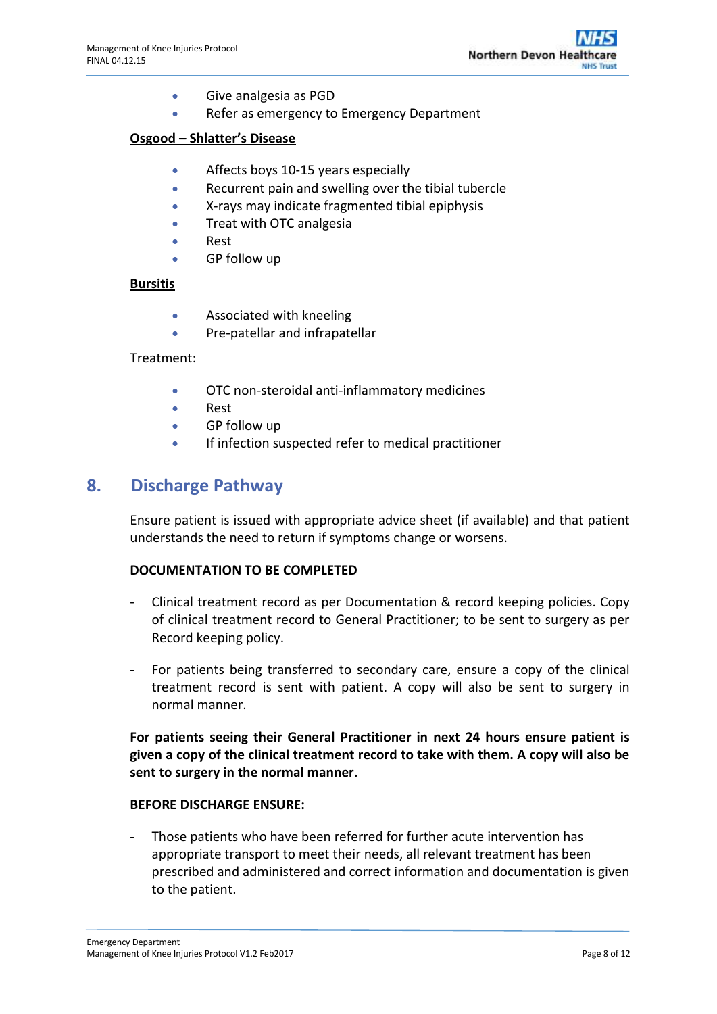- Give analgesia as PGD
- Refer as emergency to Emergency Department

#### **Osgood – Shlatter's Disease**

- Affects boys 10-15 years especially
- Recurrent pain and swelling over the tibial tubercle
- X-rays may indicate fragmented tibial epiphysis
- **•** Treat with OTC analgesia
- Rest
- GP follow up

#### **Bursitis**

- Associated with kneeling
- Pre-patellar and infrapatellar

#### Treatment:

- OTC non-steroidal anti-inflammatory medicines
- Rest
- GP follow up
- If infection suspected refer to medical practitioner

### <span id="page-7-0"></span>**8. Discharge Pathway**

Ensure patient is issued with appropriate advice sheet (if available) and that patient understands the need to return if symptoms change or worsens.

#### **DOCUMENTATION TO BE COMPLETED**

- Clinical treatment record as per Documentation & record keeping policies. Copy of clinical treatment record to General Practitioner; to be sent to surgery as per Record keeping policy.
- For patients being transferred to secondary care, ensure a copy of the clinical treatment record is sent with patient. A copy will also be sent to surgery in normal manner.

**For patients seeing their General Practitioner in next 24 hours ensure patient is given a copy of the clinical treatment record to take with them. A copy will also be sent to surgery in the normal manner.**

#### **BEFORE DISCHARGE ENSURE:**

Those patients who have been referred for further acute intervention has appropriate transport to meet their needs, all relevant treatment has been prescribed and administered and correct information and documentation is given to the patient.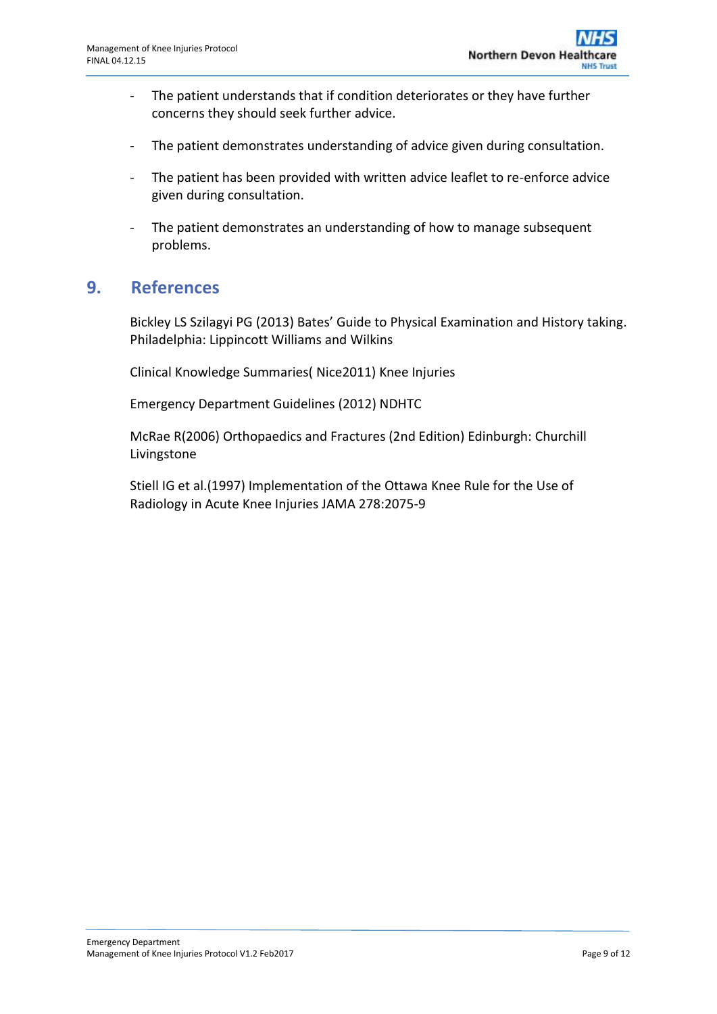- The patient understands that if condition deteriorates or they have further concerns they should seek further advice.
- The patient demonstrates understanding of advice given during consultation.
- The patient has been provided with written advice leaflet to re-enforce advice given during consultation.
- The patient demonstrates an understanding of how to manage subsequent problems.

### <span id="page-8-0"></span>**9. References**

Bickley LS Szilagyi PG (2013) Bates' Guide to Physical Examination and History taking. Philadelphia: Lippincott Williams and Wilkins

Clinical Knowledge Summaries( Nice2011) Knee Injuries

Emergency Department Guidelines (2012) NDHTC

McRae R(2006) Orthopaedics and Fractures (2nd Edition) Edinburgh: Churchill Livingstone

Stiell IG et al.(1997) Implementation of the Ottawa Knee Rule for the Use of Radiology in Acute Knee Injuries JAMA 278:2075-9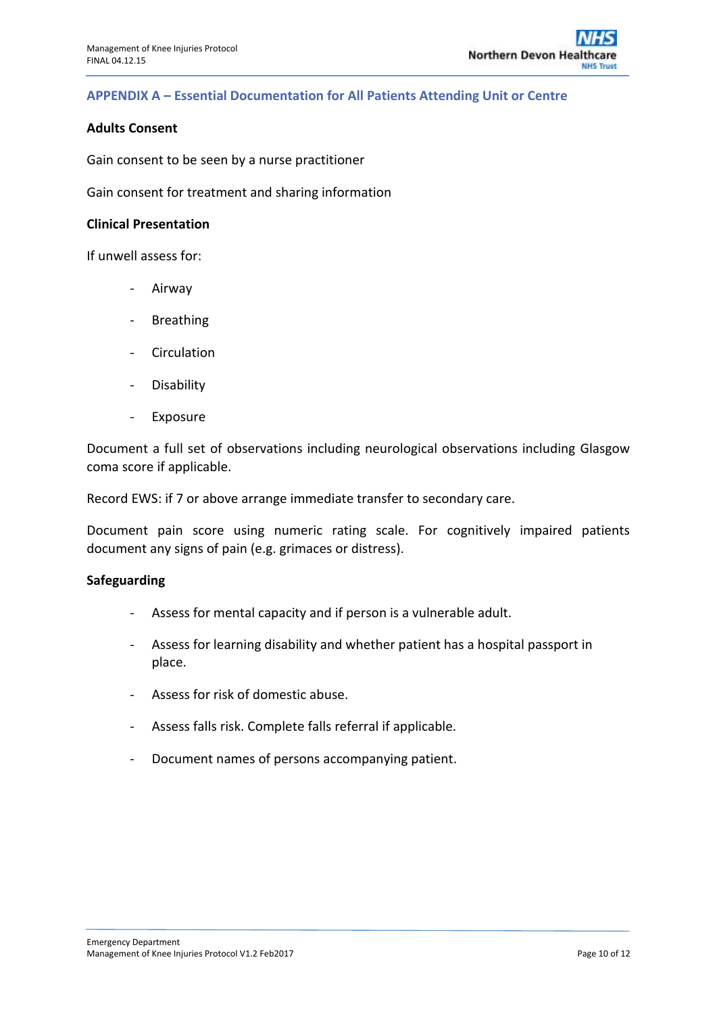#### <span id="page-9-0"></span>**APPENDIX A – Essential Documentation for All Patients Attending Unit or Centre**

#### **Adults Consent**

Gain consent to be seen by a nurse practitioner

Gain consent for treatment and sharing information

#### **Clinical Presentation**

If unwell assess for:

- Airway
- **Breathing**
- Circulation
- Disability
- Exposure

Document a full set of observations including neurological observations including Glasgow coma score if applicable.

Record EWS: if 7 or above arrange immediate transfer to secondary care.

Document pain score using numeric rating scale. For cognitively impaired patients document any signs of pain (e.g. grimaces or distress).

#### **Safeguarding**

- Assess for mental capacity and if person is a vulnerable adult.
- Assess for learning disability and whether patient has a hospital passport in place.
- Assess for risk of domestic abuse.
- Assess falls risk. Complete falls referral if applicable.
- Document names of persons accompanying patient.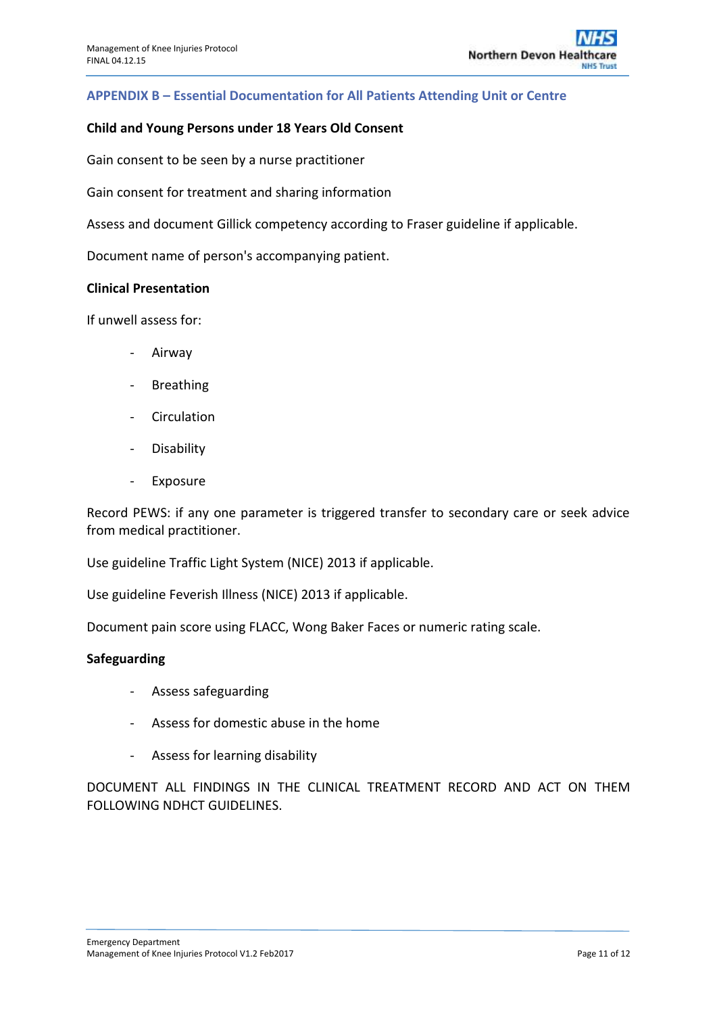#### <span id="page-10-0"></span>**APPENDIX B – Essential Documentation for All Patients Attending Unit or Centre**

#### **Child and Young Persons under 18 Years Old Consent**

Gain consent to be seen by a nurse practitioner

Gain consent for treatment and sharing information

Assess and document Gillick competency according to Fraser guideline if applicable.

Document name of person's accompanying patient.

#### **Clinical Presentation**

If unwell assess for:

- Airway
- Breathing
- Circulation
- Disability
- Exposure

Record PEWS: if any one parameter is triggered transfer to secondary care or seek advice from medical practitioner.

Use guideline Traffic Light System (NICE) 2013 if applicable.

Use guideline Feverish Illness (NICE) 2013 if applicable.

Document pain score using FLACC, Wong Baker Faces or numeric rating scale.

#### **Safeguarding**

- Assess safeguarding
- Assess for domestic abuse in the home
- Assess for learning disability

DOCUMENT ALL FINDINGS IN THE CLINICAL TREATMENT RECORD AND ACT ON THEM FOLLOWING NDHCT GUIDELINES.